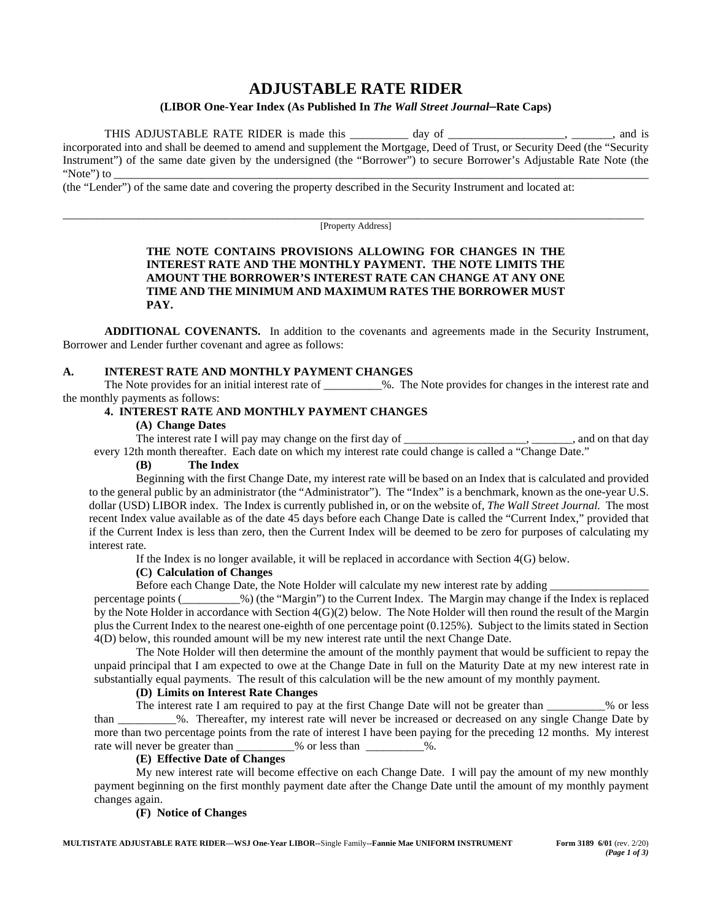# **ADJUSTABLE RATE RIDER**

### **(LIBOR One-Year Index (As Published In** *The Wall Street Journal***–Rate Caps)**

THIS ADJUSTABLE RATE RIDER is made this \_\_\_\_\_\_\_\_\_ day of \_\_\_\_\_\_\_\_\_\_\_\_\_\_\_\_\_, \_\_\_\_\_, and is incorporated into and shall be deemed to amend and supplement the Mortgage, Deed of Trust, or Security Deed (the "Security Instrument") of the same date given by the undersigned (the "Borrower") to secure Borrower's Adjustable Rate Note (the "Note") to \_\_\_\_\_\_\_\_\_\_\_\_\_\_\_\_\_\_\_\_\_\_\_\_\_\_\_\_\_\_\_\_\_\_\_\_\_\_\_\_\_\_\_\_\_\_\_\_\_\_\_\_\_\_\_\_\_\_\_\_\_\_\_\_\_\_\_\_\_\_\_\_\_\_\_\_\_\_\_\_\_\_\_\_\_\_\_\_\_\_\_\_

(the "Lender") of the same date and covering the property described in the Security Instrument and located at:

\_\_\_\_\_\_\_\_\_\_\_\_\_\_\_\_\_\_\_\_\_\_\_\_\_\_\_\_\_\_\_\_\_\_\_\_\_\_\_\_\_\_\_\_\_\_\_\_\_\_\_\_\_\_\_\_\_\_\_\_\_\_\_\_\_\_\_\_\_\_\_\_\_\_\_\_\_\_\_\_\_\_\_\_\_\_\_\_\_\_\_\_\_\_\_\_\_\_\_\_ [Property Address]

### **THE NOTE CONTAINS PROVISIONS ALLOWING FOR CHANGES IN THE INTEREST RATE AND THE MONTHLY PAYMENT. THE NOTE LIMITS THE AMOUNT THE BORROWER'S INTEREST RATE CAN CHANGE AT ANY ONE TIME AND THE MINIMUM AND MAXIMUM RATES THE BORROWER MUST PAY.**

**ADDITIONAL COVENANTS.** In addition to the covenants and agreements made in the Security Instrument, Borrower and Lender further covenant and agree as follows:

### **A. INTEREST RATE AND MONTHLY PAYMENT CHANGES**

The Note provides for an initial interest rate of  $\%$ . The Note provides for changes in the interest rate and the monthly payments as follows:

### **4. INTEREST RATE AND MONTHLY PAYMENT CHANGES**

### **(A) Change Dates**

The interest rate I will pay may change on the first day of \_\_\_\_\_\_\_\_\_\_\_\_\_\_, and on that day

## every 12th month thereafter. Each date on which my interest rate could change is called a "Change Date."

### **(B) The Index**

Beginning with the first Change Date, my interest rate will be based on an Index that is calculated and provided to the general public by an administrator (the "Administrator"). The "Index" is a benchmark, known as the one-year U.S. dollar (USD) LIBOR index. The Index is currently published in, or on the website of, *The Wall Street Journal.* The most recent Index value available as of the date 45 days before each Change Date is called the "Current Index," provided that if the Current Index is less than zero, then the Current Index will be deemed to be zero for purposes of calculating my interest rate.

If the Index is no longer available, it will be replaced in accordance with Section 4(G) below.

### **(C) Calculation of Changes**

Before each Change Date, the Note Holder will calculate my new interest rate by adding

percentage points (\_\_\_\_\_\_\_\_\_\_%) (the "Margin") to the Current Index. The Margin may change if the Index is replaced by the Note Holder in accordance with Section 4(G)(2) below. The Note Holder will then round the result of the Margin plus the Current Index to the nearest one-eighth of one percentage point (0.125%). Subject to the limits stated in Section 4(D) below, this rounded amount will be my new interest rate until the next Change Date.

The Note Holder will then determine the amount of the monthly payment that would be sufficient to repay the unpaid principal that I am expected to owe at the Change Date in full on the Maturity Date at my new interest rate in substantially equal payments. The result of this calculation will be the new amount of my monthly payment.

### **(D) Limits on Interest Rate Changes**

The interest rate I am required to pay at the first Change Date will not be greater than  $\%$  or less than \_\_\_\_\_\_\_\_\_\_%. Thereafter, my interest rate will never be increased or decreased on any single Change Date by more than two percentage points from the rate of interest I have been paying for the preceding 12 months. My interest rate will never be greater than \_\_\_\_\_\_\_\_\_\_% or less than \_\_\_\_\_\_\_\_\_\_%.

### **(E) Effective Date of Changes**

My new interest rate will become effective on each Change Date. I will pay the amount of my new monthly payment beginning on the first monthly payment date after the Change Date until the amount of my monthly payment changes again.

### **(F) Notice of Changes**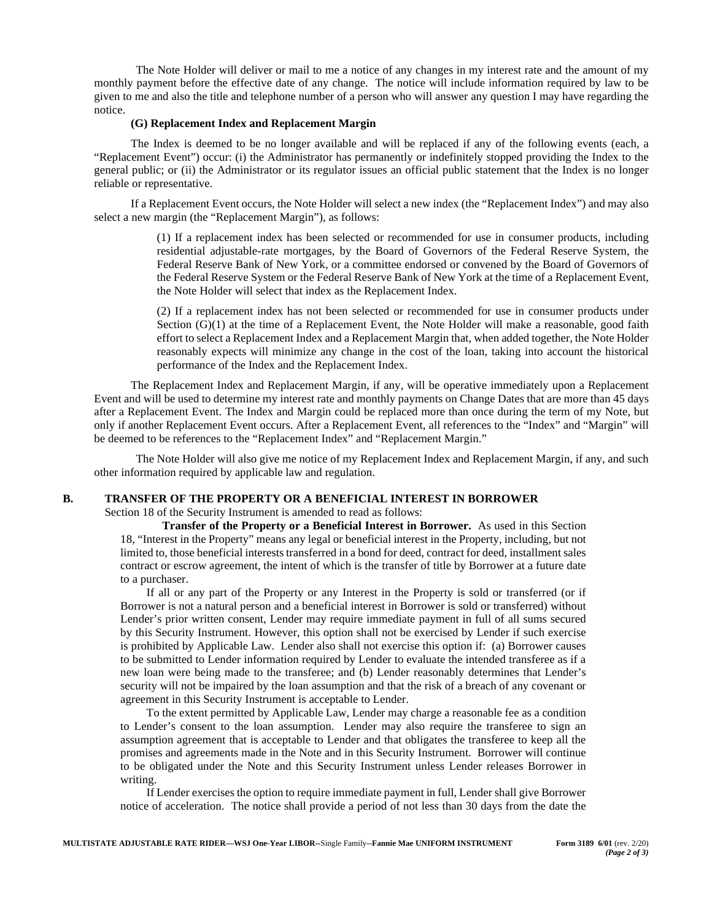The Note Holder will deliver or mail to me a notice of any changes in my interest rate and the amount of my monthly payment before the effective date of any change. The notice will include information required by law to be given to me and also the title and telephone number of a person who will answer any question I may have regarding the notice.

### **(G) Replacement Index and Replacement Margin**

The Index is deemed to be no longer available and will be replaced if any of the following events (each, a "Replacement Event") occur: (i) the Administrator has permanently or indefinitely stopped providing the Index to the general public; or (ii) the Administrator or its regulator issues an official public statement that the Index is no longer reliable or representative.

If a Replacement Event occurs, the Note Holder will select a new index (the "Replacement Index") and may also select a new margin (the "Replacement Margin"), as follows:

> (1) If a replacement index has been selected or recommended for use in consumer products, including residential adjustable-rate mortgages, by the Board of Governors of the Federal Reserve System, the Federal Reserve Bank of New York, or a committee endorsed or convened by the Board of Governors of the Federal Reserve System or the Federal Reserve Bank of New York at the time of a Replacement Event, the Note Holder will select that index as the Replacement Index.

> (2) If a replacement index has not been selected or recommended for use in consumer products under Section (G)(1) at the time of a Replacement Event, the Note Holder will make a reasonable, good faith effort to select a Replacement Index and a Replacement Margin that, when added together, the Note Holder reasonably expects will minimize any change in the cost of the loan, taking into account the historical performance of the Index and the Replacement Index.

The Replacement Index and Replacement Margin, if any, will be operative immediately upon a Replacement Event and will be used to determine my interest rate and monthly payments on Change Dates that are more than 45 days after a Replacement Event. The Index and Margin could be replaced more than once during the term of my Note, but only if another Replacement Event occurs. After a Replacement Event, all references to the "Index" and "Margin" will be deemed to be references to the "Replacement Index" and "Replacement Margin."

The Note Holder will also give me notice of my Replacement Index and Replacement Margin, if any, and such other information required by applicable law and regulation.

### **B. TRANSFER OF THE PROPERTY OR A BENEFICIAL INTEREST IN BORROWER**

Section 18 of the Security Instrument is amended to read as follows:

**Transfer of the Property or a Beneficial Interest in Borrower.** As used in this Section 18, "Interest in the Property" means any legal or beneficial interest in the Property, including, but not limited to, those beneficial interests transferred in a bond for deed, contract for deed, installment sales contract or escrow agreement, the intent of which is the transfer of title by Borrower at a future date to a purchaser.

If all or any part of the Property or any Interest in the Property is sold or transferred (or if Borrower is not a natural person and a beneficial interest in Borrower is sold or transferred) without Lender's prior written consent, Lender may require immediate payment in full of all sums secured by this Security Instrument. However, this option shall not be exercised by Lender if such exercise is prohibited by Applicable Law. Lender also shall not exercise this option if: (a) Borrower causes to be submitted to Lender information required by Lender to evaluate the intended transferee as if a new loan were being made to the transferee; and (b) Lender reasonably determines that Lender's security will not be impaired by the loan assumption and that the risk of a breach of any covenant or agreement in this Security Instrument is acceptable to Lender.

To the extent permitted by Applicable Law, Lender may charge a reasonable fee as a condition to Lender's consent to the loan assumption. Lender may also require the transferee to sign an assumption agreement that is acceptable to Lender and that obligates the transferee to keep all the promises and agreements made in the Note and in this Security Instrument. Borrower will continue to be obligated under the Note and this Security Instrument unless Lender releases Borrower in writing.

If Lender exercises the option to require immediate payment in full, Lender shall give Borrower notice of acceleration. The notice shall provide a period of not less than 30 days from the date the